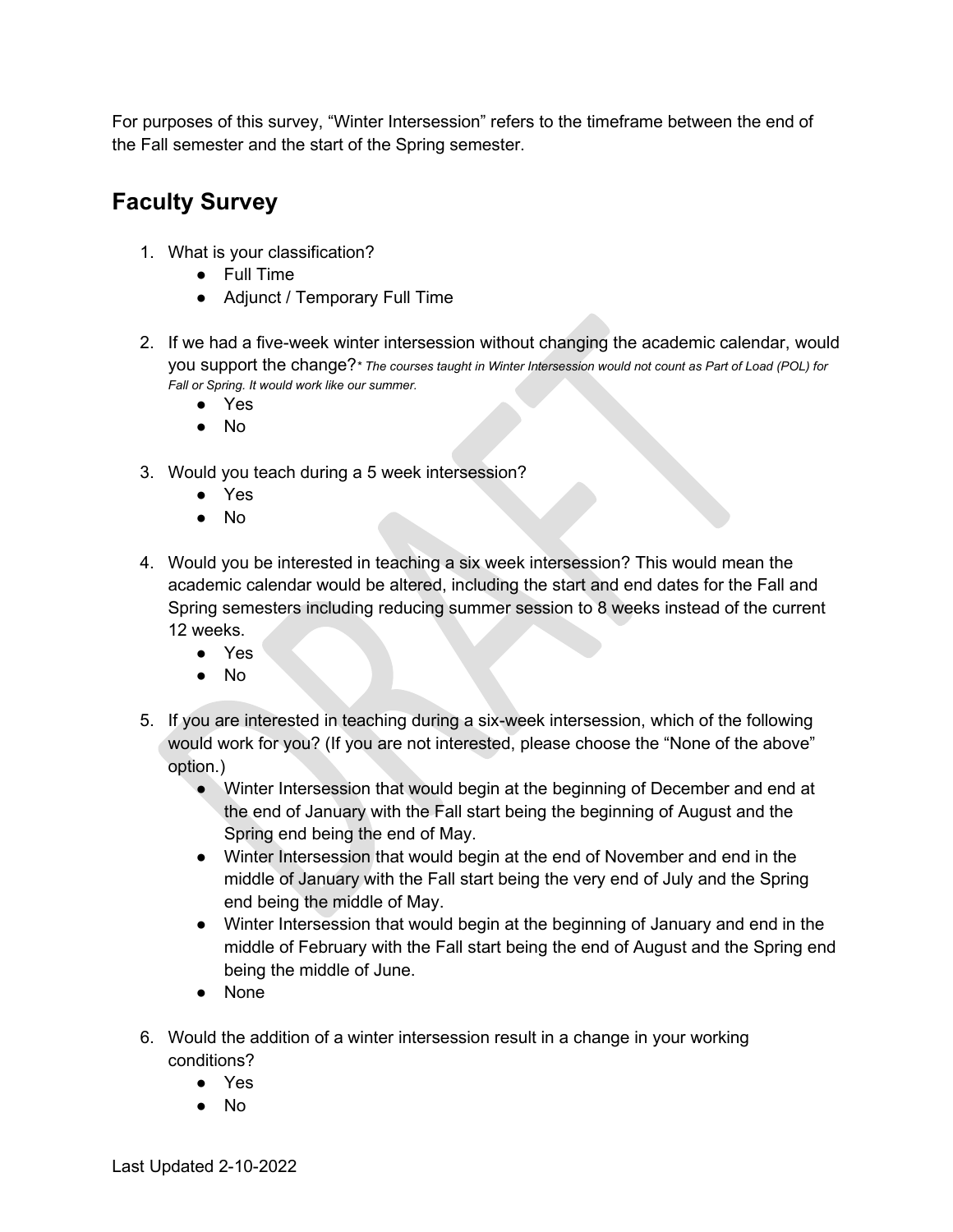For purposes of this survey, "Winter Intersession" refers to the timeframe between the end of the Fall semester and the start of the Spring semester.

## **Faculty Survey**

- 1. What is your classification?
	- Full Time
	- Adjunct / Temporary Full Time
- 2. If we had a five-week winter intersession without changing the academic calendar, would you support the change?*\* The courses taught in Winter Intersession would not count as Part of Load (POL) for Fall or Spring. It would work like our summer.*
	- Yes
	- No
- 3. Would you teach during a 5 week intersession?
	- Yes
	- No
- 4. Would you be interested in teaching a six week intersession? This would mean the academic calendar would be altered, including the start and end dates for the Fall and Spring semesters including reducing summer session to 8 weeks instead of the current 12 weeks.
	- Yes
	- $No$
- 5. If you are interested in teaching during a six-week intersession, which of the following would work for you? (If you are not interested, please choose the "None of the above" option.)
	- Winter Intersession that would begin at the beginning of December and end at the end of January with the Fall start being the beginning of August and the Spring end being the end of May.
	- Winter Intersession that would begin at the end of November and end in the middle of January with the Fall start being the very end of July and the Spring end being the middle of May.
	- Winter Intersession that would begin at the beginning of January and end in the middle of February with the Fall start being the end of August and the Spring end being the middle of June.
	- None
- 6. Would the addition of a winter intersession result in a change in your working conditions?
	- Yes
	- No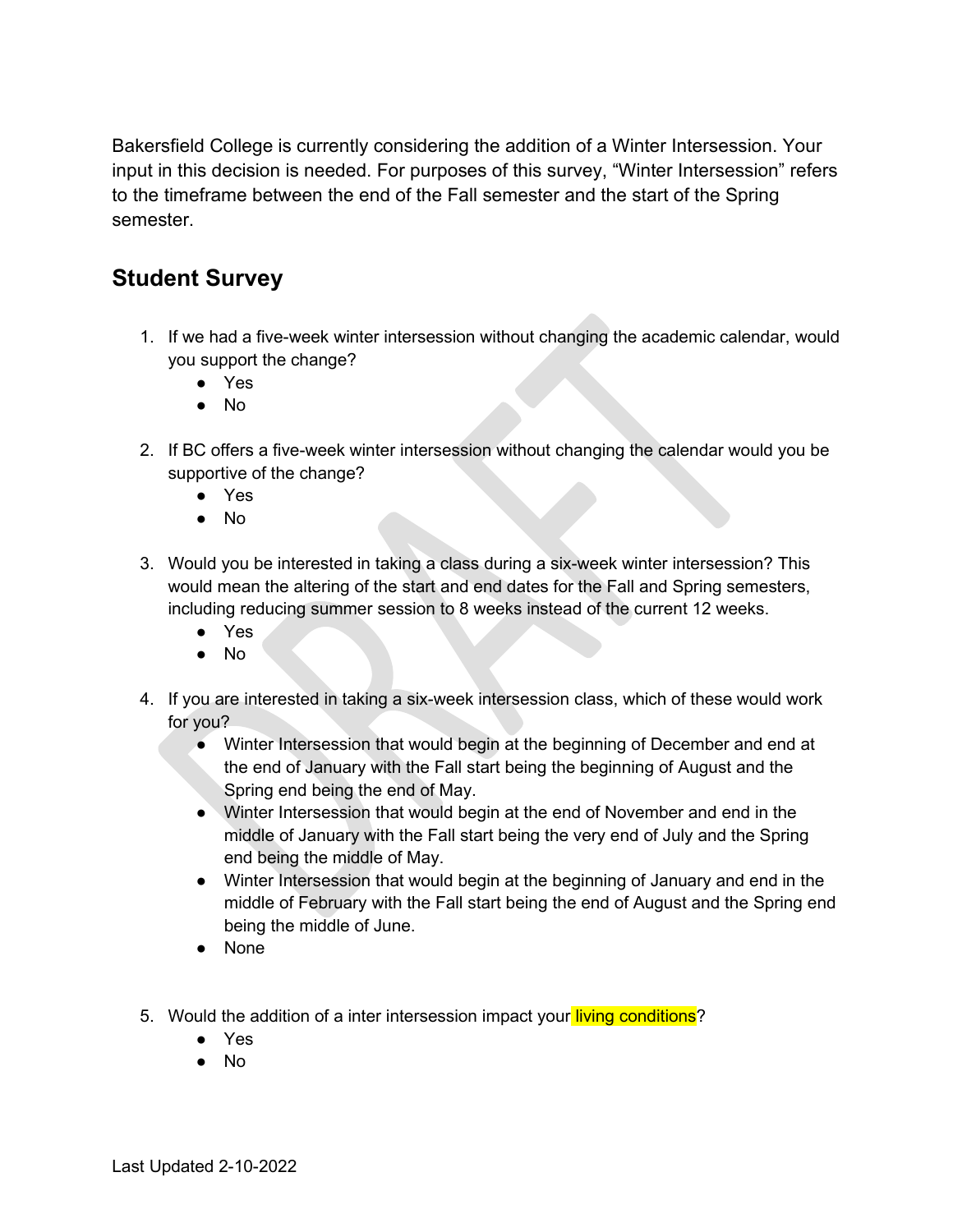Bakersfield College is currently considering the addition of a Winter Intersession. Your input in this decision is needed. For purposes of this survey, "Winter Intersession" refers to the timeframe between the end of the Fall semester and the start of the Spring semester.

## **Student Survey**

- 1. If we had a five-week winter intersession without changing the academic calendar, would you support the change?
	- Yes
	- No
- 2. If BC offers a five-week winter intersession without changing the calendar would you be supportive of the change?
	- Yes
	- No
- 3. Would you be interested in taking a class during a six-week winter intersession? This would mean the altering of the start and end dates for the Fall and Spring semesters, including reducing summer session to 8 weeks instead of the current 12 weeks.
	- Yes
	- No
- 4. If you are interested in taking a six-week intersession class, which of these would work for you?
	- Winter Intersession that would begin at the beginning of December and end at the end of January with the Fall start being the beginning of August and the Spring end being the end of May.
	- Winter Intersession that would begin at the end of November and end in the middle of January with the Fall start being the very end of July and the Spring end being the middle of May.
	- Winter Intersession that would begin at the beginning of January and end in the middle of February with the Fall start being the end of August and the Spring end being the middle of June.
	- None
- 5. Would the addition of a inter intersession impact your living conditions?
	- Yes
	- No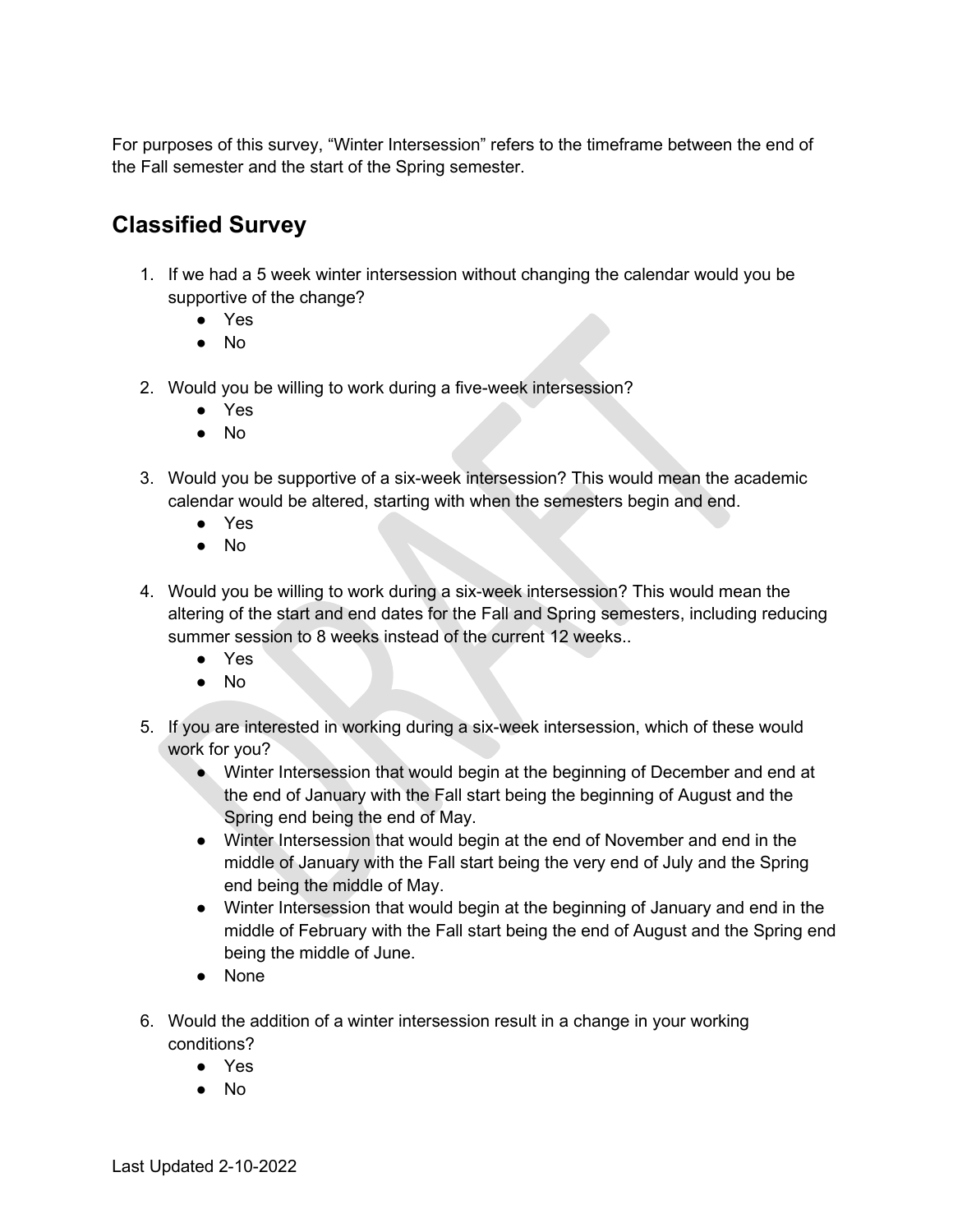For purposes of this survey, "Winter Intersession" refers to the timeframe between the end of the Fall semester and the start of the Spring semester.

## **Classified Survey**

- 1. If we had a 5 week winter intersession without changing the calendar would you be supportive of the change?
	- Yes
	- No
- 2. Would you be willing to work during a five-week intersession?
	- Yes
	- No
- 3. Would you be supportive of a six-week intersession? This would mean the academic calendar would be altered, starting with when the semesters begin and end.
	- Yes
	- No
- 4. Would you be willing to work during a six-week intersession? This would mean the altering of the start and end dates for the Fall and Spring semesters, including reducing summer session to 8 weeks instead of the current 12 weeks..
	- Yes
	- No
- 5. If you are interested in working during a six-week intersession, which of these would work for you?
	- Winter Intersession that would begin at the beginning of December and end at the end of January with the Fall start being the beginning of August and the Spring end being the end of May.
	- Winter Intersession that would begin at the end of November and end in the middle of January with the Fall start being the very end of July and the Spring end being the middle of May.
	- Winter Intersession that would begin at the beginning of January and end in the middle of February with the Fall start being the end of August and the Spring end being the middle of June.
	- None
- 6. Would the addition of a winter intersession result in a change in your working conditions?
	- Yes
	- No